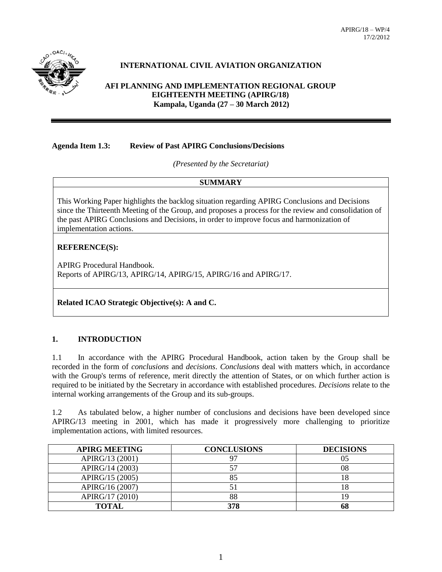

# **INTERNATIONAL CIVIL AVIATION ORGANIZATION**

#### **AFI PLANNING AND IMPLEMENTATION REGIONAL GROUP EIGHTEENTH MEETING (APIRG/18) Kampala, Uganda (27 – 30 March 2012)**

#### **Agenda Item 1.3: Review of Past APIRG Conclusions/Decisions**

*(Presented by the Secretariat)*

# **SUMMARY**

This Working Paper highlights the backlog situation regarding APIRG Conclusions and Decisions since the Thirteenth Meeting of the Group, and proposes a process for the review and consolidation of the past APIRG Conclusions and Decisions, in order to improve focus and harmonization of implementation actions.

## **REFERENCE(S):**

APIRG Procedural Handbook. Reports of APIRG/13, APIRG/14, APIRG/15, APIRG/16 and APIRG/17.

#### **Related ICAO Strategic Objective(s): A and C.**

#### **1. INTRODUCTION**

1.1 In accordance with the APIRG Procedural Handbook, action taken by the Group shall be recorded in the form of *conclusions* and *decisions*. *Conclusions* deal with matters which, in accordance with the Group's terms of reference, merit directly the attention of States, or on which further action is required to be initiated by the Secretary in accordance with established procedures. *Decisions* relate to the internal working arrangements of the Group and its sub-groups.

1.2 As tabulated below, a higher number of conclusions and decisions have been developed since APIRG/13 meeting in 2001, which has made it progressively more challenging to prioritize implementation actions, with limited resources.

| <b>APIRG MEETING</b> | <b>CONCLUSIONS</b> | <b>DECISIONS</b> |
|----------------------|--------------------|------------------|
| APIRG/13 (2001)      |                    | 05               |
| APIRG/14 (2003)      |                    | 08               |
| APIRG/15 (2005)      | 85                 |                  |
| APIRG/16 (2007)      |                    |                  |
| APIRG/17 (2010)      | 88                 |                  |
| <b>TOTAL</b>         | 378                | 68               |